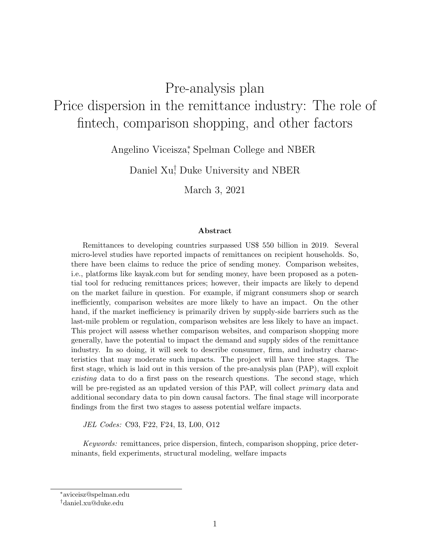# Pre-analysis plan Price dispersion in the remittance industry: The role of fintech, comparison shopping, and other factors

Angelino Viceisza<sup>∗</sup> , Spelman College and NBER

Daniel Xu<sup>†</sup>, Duke University and NBER

March 3, 2021

#### Abstract

Remittances to developing countries surpassed US\$ 550 billion in 2019. Several micro-level studies have reported impacts of remittances on recipient households. So, there have been claims to reduce the price of sending money. Comparison websites, i.e., platforms like kayak.com but for sending money, have been proposed as a potential tool for reducing remittances prices; however, their impacts are likely to depend on the market failure in question. For example, if migrant consumers shop or search inefficiently, comparison websites are more likely to have an impact. On the other hand, if the market inefficiency is primarily driven by supply-side barriers such as the last-mile problem or regulation, comparison websites are less likely to have an impact. This project will assess whether comparison websites, and comparison shopping more generally, have the potential to impact the demand and supply sides of the remittance industry. In so doing, it will seek to describe consumer, firm, and industry characteristics that may moderate such impacts. The project will have three stages. The first stage, which is laid out in this version of the pre-analysis plan (PAP), will exploit existing data to do a first pass on the research questions. The second stage, which will be pre-registed as an updated version of this PAP, will collect *primary* data and additional secondary data to pin down causal factors. The final stage will incorporate findings from the first two stages to assess potential welfare impacts.

JEL Codes: C93, F22, F24, I3, L00, O12

Keywords: remittances, price dispersion, fintech, comparison shopping, price determinants, field experiments, structural modeling, welfare impacts

<sup>∗</sup>aviceisz@spelman.edu

<sup>†</sup>daniel.xu@duke.edu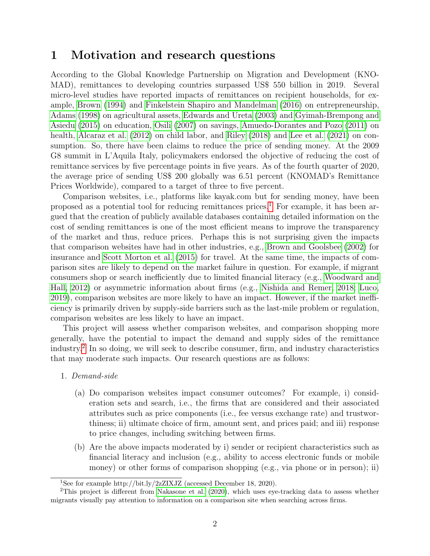### 1 Motivation and research questions

According to the Global Knowledge Partnership on Migration and Development (KNO-MAD), remittances to developing countries surpassed US\$ 550 billion in 2019. Several micro-level studies have reported impacts of remittances on recipient households, for example, [Brown](#page-8-0) [\(1994\)](#page-8-0) and [Finkelstein Shapiro and Mandelman](#page-9-0) [\(2016\)](#page-9-0) on entrepreneurship, [Adams](#page-7-0) [\(1998\)](#page-7-0) on agricultural assets, [Edwards and Ureta](#page-9-1) [\(2003\)](#page-9-1) and [Gyimah-Brempong and](#page-9-2) [Asiedu](#page-9-2) [\(2015\)](#page-9-2) on education, [Osili](#page-10-0) [\(2007\)](#page-10-0) on savings, [Amuedo-Dorantes and Pozo](#page-8-1) [\(2011\)](#page-8-1) on health, [Alcaraz et al.](#page-7-1) [\(2012\)](#page-7-1) on child labor, and [Riley](#page-10-1) [\(2018\)](#page-10-1) and [Lee et al.](#page-9-3) [\(2021\)](#page-9-3) on consumption. So, there have been claims to reduce the price of sending money. At the 2009 G8 summit in L'Aquila Italy, policymakers endorsed the objective of reducing the cost of remittance services by five percentage points in five years. As of the fourth quarter of 2020, the average price of sending US\$ 200 globally was 6.51 percent (KNOMAD's Remittance Prices Worldwide), compared to a target of three to five percent.

Comparison websites, i.e., platforms like kayak.com but for sending money, have been proposed as a potential tool for reducing remittances prices.<sup>[1](#page-1-0)</sup> For example, it has been argued that the creation of publicly available databases containing detailed information on the cost of sending remittances is one of the most efficient means to improve the transparency of the market and thus, reduce prices. Perhaps this is not surprising given the impacts that comparison websites have had in other industries, e.g., [Brown and Goolsbee](#page-8-2) [\(2002\)](#page-8-2) for insurance and [Scott Morton et al.](#page-10-2) [\(2015\)](#page-10-2) for travel. At the same time, the impacts of comparison sites are likely to depend on the market failure in question. For example, if migrant consumers shop or search inefficiently due to limited financial literacy (e.g., [Woodward and](#page-10-3) [Hall, 2012\)](#page-10-3) or asymmetric information about firms (e.g., [Nishida and Remer, 2018;](#page-10-4) [Luco,](#page-9-4) [2019\)](#page-9-4), comparison websites are more likely to have an impact. However, if the market inefficiency is primarily driven by supply-side barriers such as the last-mile problem or regulation, comparison websites are less likely to have an impact.

This project will assess whether comparison websites, and comparison shopping more generally, have the potential to impact the demand and supply sides of the remittance industry.[2](#page-1-1) In so doing, we will seek to describe consumer, firm, and industry characteristics that may moderate such impacts. Our research questions are as follows:

- 1. Demand-side
	- (a) Do comparison websites impact consumer outcomes? For example, i) consideration sets and search, i.e., the firms that are considered and their associated attributes such as price components (i.e., fee versus exchange rate) and trustworthiness; ii) ultimate choice of firm, amount sent, and prices paid; and iii) response to price changes, including switching between firms.
	- (b) Are the above impacts moderated by i) sender or recipient characteristics such as financial literacy and inclusion (e.g., ability to access electronic funds or mobile money) or other forms of comparison shopping (e.g., via phone or in person); ii)

<span id="page-1-1"></span><span id="page-1-0"></span><sup>&</sup>lt;sup>1</sup>See for example http://bit.ly/2zZIXJZ (accessed December 18, 2020).

<sup>&</sup>lt;sup>2</sup>This project is different from [Nakasone et al.](#page-9-5) [\(2020\)](#page-9-5), which uses eye-tracking data to assess whether migrants visually pay attention to information on a comparison site when searching across firms.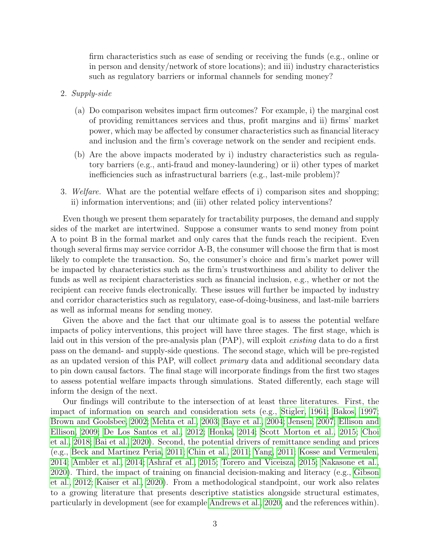firm characteristics such as ease of sending or receiving the funds (e.g., online or in person and density/network of store locations); and iii) industry characteristics such as regulatory barriers or informal channels for sending money?

- 2. Supply-side
	- (a) Do comparison websites impact firm outcomes? For example, i) the marginal cost of providing remittances services and thus, profit margins and ii) firms' market power, which may be affected by consumer characteristics such as financial literacy and inclusion and the firm's coverage network on the sender and recipient ends.
	- (b) Are the above impacts moderated by i) industry characteristics such as regulatory barriers (e.g., anti-fraud and money-laundering) or ii) other types of market inefficiencies such as infrastructural barriers (e.g., last-mile problem)?
- 3. Welfare. What are the potential welfare effects of i) comparison sites and shopping; ii) information interventions; and (iii) other related policy interventions?

Even though we present them separately for tractability purposes, the demand and supply sides of the market are intertwined. Suppose a consumer wants to send money from point A to point B in the formal market and only cares that the funds reach the recipient. Even though several firms may service corridor A-B, the consumer will choose the firm that is most likely to complete the transaction. So, the consumer's choice and firm's market power will be impacted by characteristics such as the firm's trustworthiness and ability to deliver the funds as well as recipient characteristics such as financial inclusion, e.g., whether or not the recipient can receive funds electronically. These issues will further be impacted by industry and corridor characteristics such as regulatory, ease-of-doing-business, and last-mile barriers as well as informal means for sending money.

Given the above and the fact that our ultimate goal is to assess the potential welfare impacts of policy interventions, this project will have three stages. The first stage, which is laid out in this version of the pre-analysis plan (PAP), will exploit existing data to do a first pass on the demand- and supply-side questions. The second stage, which will be pre-registed as an updated version of this PAP, will collect primary data and additional secondary data to pin down causal factors. The final stage will incorporate findings from the first two stages to assess potential welfare impacts through simulations. Stated differently, each stage will inform the design of the next.

Our findings will contribute to the intersection of at least three literatures. First, the impact of information on search and consideration sets (e.g., [Stigler, 1961;](#page-10-5) [Bakos, 1997;](#page-8-3) [Brown and Goolsbee, 2002;](#page-8-2) [Mehta et al., 2003;](#page-9-6) [Baye et al., 2004;](#page-8-4) [Jensen, 2007;](#page-9-7) [Ellison and](#page-9-8) [Ellison, 2009;](#page-9-8) [De Los Santos et al., 2012;](#page-9-9) [Honka, 2014;](#page-9-10) [Scott Morton et al., 2015;](#page-10-2) [Choi](#page-8-5) [et al., 2018;](#page-8-5) [Bai et al., 2020\)](#page-8-6). Second, the potential drivers of remittance sending and prices (e.g., [Beck and Martinez Peria, 2011;](#page-8-7) [Chin et al., 2011;](#page-8-8) [Yang, 2011;](#page-10-6) [Kosse and Vermeulen,](#page-9-11) [2014;](#page-9-11) [Ambler et al., 2014;](#page-8-9) [Ashraf et al., 2015;](#page-8-10) [Torero and Viceisza, 2015;](#page-10-7) [Nakasone et al.,](#page-9-5) [2020\)](#page-9-5). Third, the impact of training on financial decision-making and literacy (e.g., [Gibson](#page-9-12) [et al., 2012;](#page-9-12) [Kaiser et al., 2020\)](#page-9-13). From a methodological standpoint, our work also relates to a growing literature that presents descriptive statistics alongside structural estimates, particularly in development (see for example [Andrews et al., 2020,](#page-8-11) and the references within).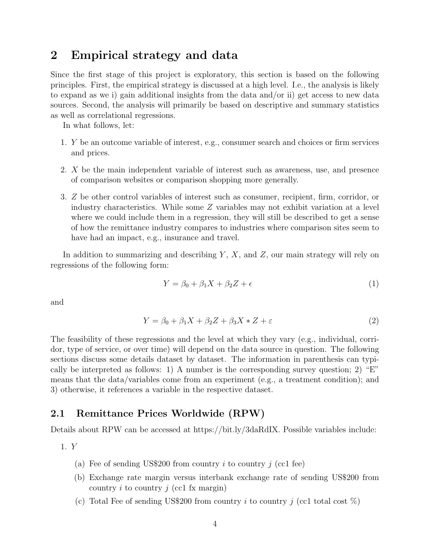### 2 Empirical strategy and data

Since the first stage of this project is exploratory, this section is based on the following principles. First, the empirical strategy is discussed at a high level. I.e., the analysis is likely to expand as we i) gain additional insights from the data and/or ii) get access to new data sources. Second, the analysis will primarily be based on descriptive and summary statistics as well as correlational regressions.

In what follows, let:

- 1. Y be an outcome variable of interest, e.g., consumer search and choices or firm services and prices.
- 2. X be the main independent variable of interest such as awareness, use, and presence of comparison websites or comparison shopping more generally.
- 3. Z be other control variables of interest such as consumer, recipient, firm, corridor, or industry characteristics. While some  $Z$  variables may not exhibit variation at a level where we could include them in a regression, they will still be described to get a sense of how the remittance industry compares to industries where comparison sites seem to have had an impact, e.g., insurance and travel.

In addition to summarizing and describing  $Y, X$ , and  $Z$ , our main strategy will rely on regressions of the following form:

$$
Y = \beta_0 + \beta_1 X + \beta_2 Z + \epsilon \tag{1}
$$

and

$$
Y = \beta_0 + \beta_1 X + \beta_2 Z + \beta_3 X * Z + \varepsilon \tag{2}
$$

The feasibility of these regressions and the level at which they vary (e.g., individual, corridor, type of service, or over time) will depend on the data source in question. The following sections discuss some details dataset by dataset. The information in parenthesis can typically be interpreted as follows: 1) A number is the corresponding survey question; 2) "E" means that the data/variables come from an experiment (e.g., a treatment condition); and 3) otherwise, it references a variable in the respective dataset.

#### 2.1 Remittance Prices Worldwide (RPW)

Details about RPW can be accessed at https://bit.ly/3daRdIX. Possible variables include:

1. Y

- (a) Fee of sending US\$200 from country  $i$  to country  $j$  (cc1 fee)
- (b) Exchange rate margin versus interbank exchange rate of sending US\$200 from country i to country j (cc1 fx margin)
- (c) Total Fee of sending US\$200 from country i to country j (cc1 total cost  $\%$ )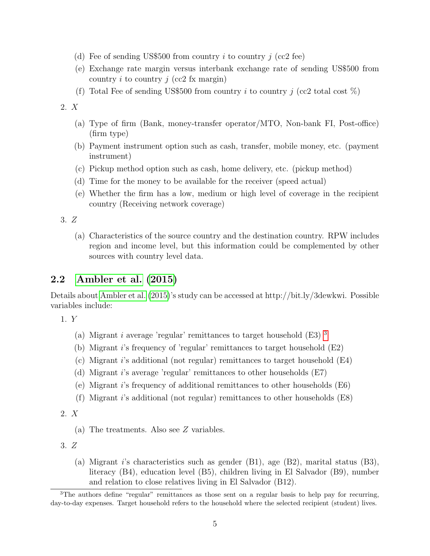- (d) Fee of sending US\$500 from country i to country j (cc2 fee)
- (e) Exchange rate margin versus interbank exchange rate of sending US\$500 from country i to country j (cc2 fx margin)
- (f) Total Fee of sending US\$500 from country i to country j (cc2 total cost  $\%$ )

2. X

- (a) Type of firm (Bank, money-transfer operator/MTO, Non-bank FI, Post-office) (firm type)
- (b) Payment instrument option such as cash, transfer, mobile money, etc. (payment instrument)
- (c) Pickup method option such as cash, home delivery, etc. (pickup method)
- (d) Time for the money to be available for the receiver (speed actual)
- (e) Whether the firm has a low, medium or high level of coverage in the recipient country (Receiving network coverage)

3. Z

(a) Characteristics of the source country and the destination country. RPW includes region and income level, but this information could be complemented by other sources with country level data.

#### 2.2 [Ambler et al.](#page-8-12) [\(2015\)](#page-8-12)

Details about [Ambler et al.](#page-8-12) [\(2015\)](#page-8-12)'s study can be accessed at http://bit.ly/3dewkwi. Possible variables include:

1. Y

- (a) Migrant *i* average 'regular' remittances to target household  $(E3)$  $(E3)$  $(E3)$ <sup>3</sup>
- (b) Migrant i's frequency of 'regular' remittances to target household (E2)
- (c) Migrant i's additional (not regular) remittances to target household  $(E4)$
- (d) Migrant i's average 'regular' remittances to other households (E7)
- (e) Migrant i's frequency of additional remittances to other households (E6)
- (f) Migrant i's additional (not regular) remittances to other households  $(E8)$

2. X

(a) The treatments. Also see Z variables.

3. Z

(a) Migrant i's characteristics such as gender  $(B1)$ , age  $(B2)$ , marital status  $(B3)$ , literacy (B4), education level (B5), children living in El Salvador (B9), number and relation to close relatives living in El Salvador (B12).

<span id="page-4-0"></span> $3$ The authors define "regular" remittances as those sent on a regular basis to help pay for recurring, day-to-day expenses. Target household refers to the household where the selected recipient (student) lives.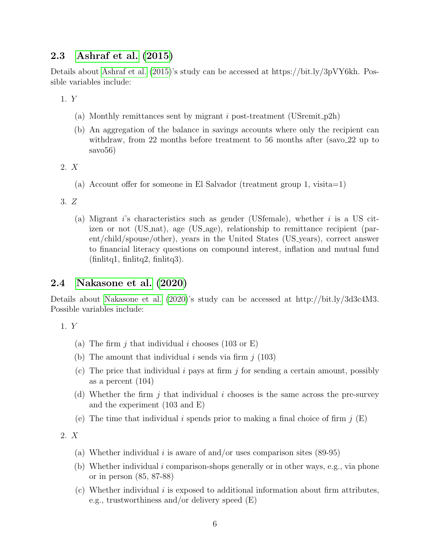#### 2.3 [Ashraf et al.](#page-8-10) [\(2015\)](#page-8-10)

Details about [Ashraf et al.](#page-8-10) [\(2015\)](#page-8-10)'s study can be accessed at https://bit.ly/3pVY6kh. Possible variables include:

1. Y

- (a) Monthly remittances sent by migrant i post-treatment (USremit $_{p2h}$ )
- (b) An aggregation of the balance in savings accounts where only the recipient can withdraw, from 22 months before treatment to 56 months after (savo 22 up to savo56)
- 2. X
	- (a) Account offer for someone in El Salvador (treatment group 1, visita=1)
- 3. Z
	- (a) Migrant i's characteristics such as gender (USfemale), whether i is a US citizen or not (US nat), age (US age), relationship to remittance recipient (parent/child/spouse/other), years in the United States (US years), correct answer to financial literacy questions on compound interest, inflation and mutual fund  $(\text{finlitq1}, \text{finlitq2}, \text{finlitq3}).$

#### 2.4 [Nakasone et al.](#page-9-5) [\(2020\)](#page-9-5)

Details about [Nakasone et al.](#page-9-5) [\(2020\)](#page-9-5)'s study can be accessed at http://bit.ly/3d3c4M3. Possible variables include:

1. Y

- (a) The firm j that individual i chooses (103 or E)
- (b) The amount that individual i sends via firm  $j$  (103)
- (c) The price that individual i pays at firm j for sending a certain amount, possibly as a percent (104)
- (d) Whether the firm j that individual i chooses is the same across the pre-survey and the experiment (103 and E)
- (e) The time that individual i spends prior to making a final choice of firm  $j(E)$

2. X

- (a) Whether individual i is aware of and/or uses comparison sites  $(89-95)$
- (b) Whether individual i comparison-shops generally or in other ways, e.g., via phone or in person (85, 87-88)
- (c) Whether individual  $i$  is exposed to additional information about firm attributes, e.g., trustworthiness and/or delivery speed (E)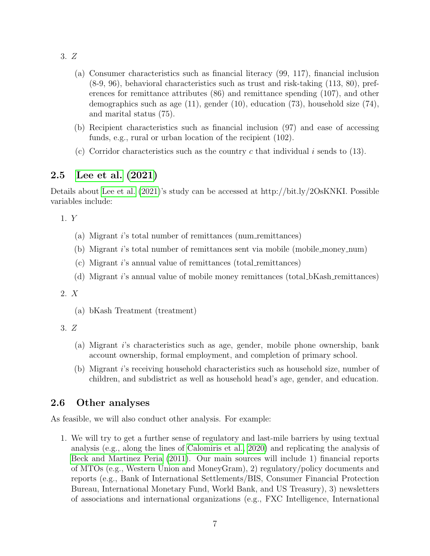3. Z

- (a) Consumer characteristics such as financial literacy (99, 117), financial inclusion (8-9, 96), behavioral characteristics such as trust and risk-taking (113, 80), preferences for remittance attributes (86) and remittance spending (107), and other demographics such as age (11), gender (10), education (73), household size (74), and marital status (75).
- (b) Recipient characteristics such as financial inclusion (97) and ease of accessing funds, e.g., rural or urban location of the recipient (102).
- (c) Corridor characteristics such as the country c that individual i sends to  $(13)$ .

#### 2.5 [Lee et al.](#page-9-3) [\(2021\)](#page-9-3)

Details about [Lee et al.](#page-9-3) [\(2021\)](#page-9-3)'s study can be accessed at http://bit.ly/2OsKNKI. Possible variables include:

1. Y

- (a) Migrant i's total number of remittances (num remittances)
- (b) Migrant i's total number of remittances sent via mobile (mobile money num)
- (c) Migrant i's annual value of remittances (total remittances)
- (d) Migrant i's annual value of mobile money remittances (total bKash remittances)

#### 2. X

- (a) bKash Treatment (treatment)
- 3. Z
	- (a) Migrant i's characteristics such as age, gender, mobile phone ownership, bank account ownership, formal employment, and completion of primary school.
	- (b) Migrant i's receiving household characteristics such as household size, number of children, and subdistrict as well as household head's age, gender, and education.

#### 2.6 Other analyses

As feasible, we will also conduct other analysis. For example:

1. We will try to get a further sense of regulatory and last-mile barriers by using textual analysis (e.g., along the lines of [Calomiris et al., 2020\)](#page-8-13) and replicating the analysis of [Beck and Martinez Peria](#page-8-7) [\(2011\)](#page-8-7). Our main sources will include 1) financial reports of MTOs (e.g., Western Union and MoneyGram), 2) regulatory/policy documents and reports (e.g., Bank of International Settlements/BIS, Consumer Financial Protection Bureau, International Monetary Fund, World Bank, and US Treasury), 3) newsletters of associations and international organizations (e.g., FXC Intelligence, International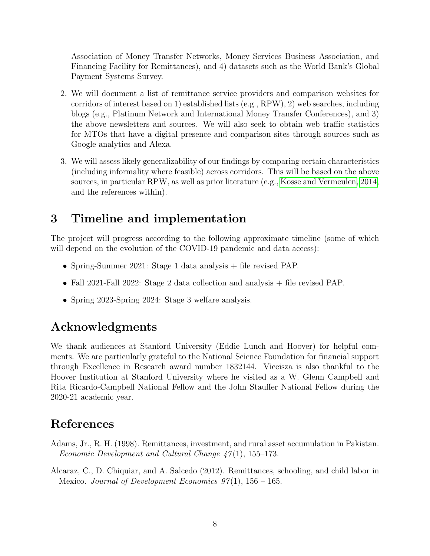Association of Money Transfer Networks, Money Services Business Association, and Financing Facility for Remittances), and 4) datasets such as the World Bank's Global Payment Systems Survey.

- 2. We will document a list of remittance service providers and comparison websites for corridors of interest based on 1) established lists (e.g., RPW), 2) web searches, including blogs (e.g., Platinum Network and International Money Transfer Conferences), and 3) the above newsletters and sources. We will also seek to obtain web traffic statistics for MTOs that have a digital presence and comparison sites through sources such as Google analytics and Alexa.
- 3. We will assess likely generalizability of our findings by comparing certain characteristics (including informality where feasible) across corridors. This will be based on the above sources, in particular RPW, as well as prior literature (e.g., [Kosse and Vermeulen, 2014,](#page-9-11) and the references within).

## 3 Timeline and implementation

The project will progress according to the following approximate timeline (some of which will depend on the evolution of the COVID-19 pandemic and data access):

- Spring-Summer 2021: Stage 1 data analysis + file revised PAP.
- Fall 2021-Fall 2022: Stage 2 data collection and analysis + file revised PAP.
- Spring 2023-Spring 2024: Stage 3 welfare analysis.

## Acknowledgments

We thank audiences at Stanford University (Eddie Lunch and Hoover) for helpful comments. We are particularly grateful to the National Science Foundation for financial support through Excellence in Research award number 1832144. Viceisza is also thankful to the Hoover Institution at Stanford University where he visited as a W. Glenn Campbell and Rita Ricardo-Campbell National Fellow and the John Stauffer National Fellow during the 2020-21 academic year.

## References

- <span id="page-7-0"></span>Adams, Jr., R. H. (1998). Remittances, investment, and rural asset accumulation in Pakistan. Economic Development and Cultural Change  $\frac{47}{1}$ , 155–173.
- <span id="page-7-1"></span>Alcaraz, C., D. Chiquiar, and A. Salcedo (2012). Remittances, schooling, and child labor in Mexico. Journal of Development Economics  $97(1)$ ,  $156 - 165$ .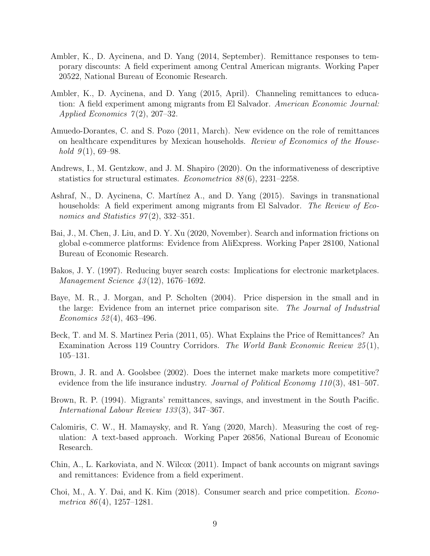- <span id="page-8-9"></span>Ambler, K., D. Aycinena, and D. Yang (2014, September). Remittance responses to temporary discounts: A field experiment among Central American migrants. Working Paper 20522, National Bureau of Economic Research.
- <span id="page-8-12"></span>Ambler, K., D. Aycinena, and D. Yang (2015, April). Channeling remittances to education: A field experiment among migrants from El Salvador. American Economic Journal: Applied Economics  $7(2)$ , 207–32.
- <span id="page-8-1"></span>Amuedo-Dorantes, C. and S. Pozo (2011, March). New evidence on the role of remittances on healthcare expenditures by Mexican households. Review of Economics of the Household  $9(1)$ , 69–98.
- <span id="page-8-11"></span>Andrews, I., M. Gentzkow, and J. M. Shapiro (2020). On the informativeness of descriptive statistics for structural estimates. Econometrica 88 (6), 2231–2258.
- <span id="page-8-10"></span>Ashraf, N., D. Aycinena, C. Martínez A., and D. Yang (2015). Savings in transnational households: A field experiment among migrants from El Salvador. The Review of Economics and Statistics  $97(2)$ , 332–351.
- <span id="page-8-6"></span>Bai, J., M. Chen, J. Liu, and D. Y. Xu (2020, November). Search and information frictions on global e-commerce platforms: Evidence from AliExpress. Working Paper 28100, National Bureau of Economic Research.
- <span id="page-8-3"></span>Bakos, J. Y. (1997). Reducing buyer search costs: Implications for electronic marketplaces. Management Science 43 (12), 1676–1692.
- <span id="page-8-4"></span>Baye, M. R., J. Morgan, and P. Scholten (2004). Price dispersion in the small and in the large: Evidence from an internet price comparison site. The Journal of Industrial Economics 52(4), 463-496.
- <span id="page-8-7"></span>Beck, T. and M. S. Martinez Peria (2011, 05). What Explains the Price of Remittances? An Examination Across 119 Country Corridors. The World Bank Economic Review 25(1), 105–131.
- <span id="page-8-2"></span>Brown, J. R. and A. Goolsbee (2002). Does the internet make markets more competitive? evidence from the life insurance industry. Journal of Political Economy 110(3),  $481-507$ .
- <span id="page-8-0"></span>Brown, R. P. (1994). Migrants' remittances, savings, and investment in the South Pacific. International Labour Review 133 (3), 347–367.
- <span id="page-8-13"></span>Calomiris, C. W., H. Mamaysky, and R. Yang (2020, March). Measuring the cost of regulation: A text-based approach. Working Paper 26856, National Bureau of Economic Research.
- <span id="page-8-8"></span>Chin, A., L. Karkoviata, and N. Wilcox (2011). Impact of bank accounts on migrant savings and remittances: Evidence from a field experiment.
- <span id="page-8-5"></span>Choi, M., A. Y. Dai, and K. Kim (2018). Consumer search and price competition. Econometrica  $86(4)$ , 1257–1281.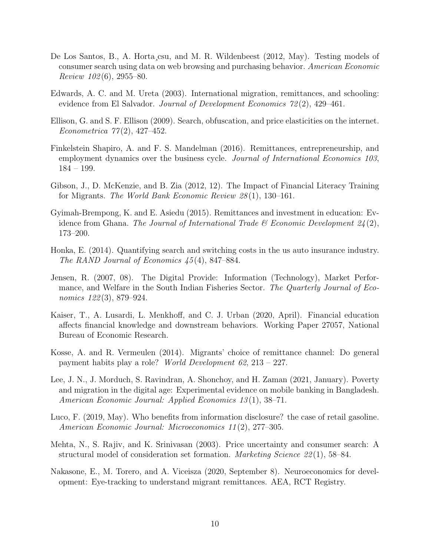- <span id="page-9-9"></span>De Los Santos, B., A. Horta¸csu, and M. R. Wildenbeest (2012, May). Testing models of consumer search using data on web browsing and purchasing behavior. American Economic Review  $102(6)$ , 2955–80.
- <span id="page-9-1"></span>Edwards, A. C. and M. Ureta (2003). International migration, remittances, and schooling: evidence from El Salvador. Journal of Development Economics 72(2), 429–461.
- <span id="page-9-8"></span>Ellison, G. and S. F. Ellison (2009). Search, obfuscation, and price elasticities on the internet. Econometrica  $77(2)$ , 427-452.
- <span id="page-9-0"></span>Finkelstein Shapiro, A. and F. S. Mandelman (2016). Remittances, entrepreneurship, and employment dynamics over the business cycle. *Journal of International Economics 103*, 184 – 199.
- <span id="page-9-12"></span>Gibson, J., D. McKenzie, and B. Zia (2012, 12). The Impact of Financial Literacy Training for Migrants. The World Bank Economic Review 28 (1), 130–161.
- <span id="page-9-2"></span>Gyimah-Brempong, K. and E. Asiedu (2015). Remittances and investment in education: Evidence from Ghana. The Journal of International Trade  $\mathscr B$  Economic Development  $24(2)$ , 173–200.
- <span id="page-9-10"></span>Honka, E. (2014). Quantifying search and switching costs in the us auto insurance industry. The RAND Journal of Economics 45 (4), 847–884.
- <span id="page-9-7"></span>Jensen, R. (2007, 08). The Digital Provide: Information (Technology), Market Performance, and Welfare in the South Indian Fisheries Sector. The Quarterly Journal of Economics 122(3), 879–924.
- <span id="page-9-13"></span>Kaiser, T., A. Lusardi, L. Menkhoff, and C. J. Urban (2020, April). Financial education affects financial knowledge and downstream behaviors. Working Paper 27057, National Bureau of Economic Research.
- <span id="page-9-11"></span>Kosse, A. and R. Vermeulen (2014). Migrants' choice of remittance channel: Do general payment habits play a role? World Development 62, 213 – 227.
- <span id="page-9-3"></span>Lee, J. N., J. Morduch, S. Ravindran, A. Shonchoy, and H. Zaman (2021, January). Poverty and migration in the digital age: Experimental evidence on mobile banking in Bangladesh. American Economic Journal: Applied Economics 13 (1), 38–71.
- <span id="page-9-4"></span>Luco, F. (2019, May). Who benefits from information disclosure? the case of retail gasoline. American Economic Journal: Microeconomics 11 (2), 277–305.
- <span id="page-9-6"></span>Mehta, N., S. Rajiv, and K. Srinivasan (2003). Price uncertainty and consumer search: A structural model of consideration set formation. Marketing Science 22 (1), 58–84.
- <span id="page-9-5"></span>Nakasone, E., M. Torero, and A. Viceisza (2020, September 8). Neuroeconomics for development: Eye-tracking to understand migrant remittances. AEA, RCT Registry.